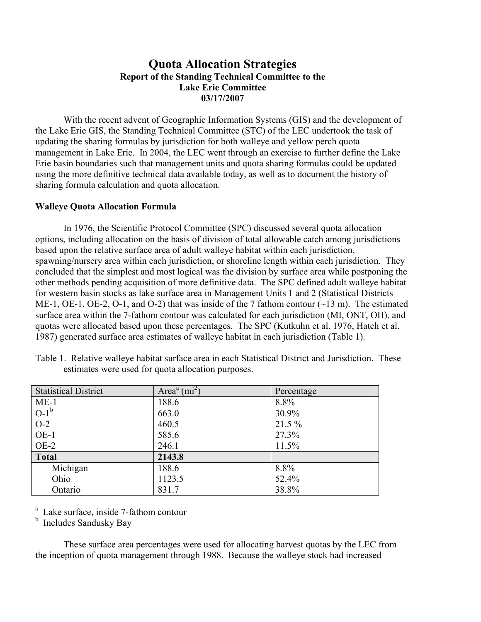## **Quota Allocation Strategies Report of the Standing Technical Committee to the Lake Erie Committee 03/17/2007**

 With the recent advent of Geographic Information Systems (GIS) and the development of the Lake Erie GIS, the Standing Technical Committee (STC) of the LEC undertook the task of updating the sharing formulas by jurisdiction for both walleye and yellow perch quota management in Lake Erie. In 2004, the LEC went through an exercise to further define the Lake Erie basin boundaries such that management units and quota sharing formulas could be updated using the more definitive technical data available today, as well as to document the history of sharing formula calculation and quota allocation.

## **Walleye Quota Allocation Formula**

 In 1976, the Scientific Protocol Committee (SPC) discussed several quota allocation options, including allocation on the basis of division of total allowable catch among jurisdictions based upon the relative surface area of adult walleye habitat within each jurisdiction, spawning/nursery area within each jurisdiction, or shoreline length within each jurisdiction. They concluded that the simplest and most logical was the division by surface area while postponing the other methods pending acquisition of more definitive data. The SPC defined adult walleye habitat for western basin stocks as lake surface area in Management Units 1 and 2 (Statistical Districts ME-1, OE-1, OE-2, O-1, and O-2) that was inside of the 7 fathom contour (~13 m). The estimated surface area within the 7-fathom contour was calculated for each jurisdiction (MI, ONT, OH), and quotas were allocated based upon these percentages. The SPC (Kutkuhn et al. 1976, Hatch et al. 1987) generated surface area estimates of walleye habitat in each jurisdiction (Table 1).

| <b>Statistical District</b> | Area <sup><math>a</math></sup> (mi <sup>2</sup> ) | Percentage |  |
|-----------------------------|---------------------------------------------------|------------|--|
| $ME-1$                      | 188.6                                             | 8.8%       |  |
| $O-1^b$                     | 663.0                                             | 30.9%      |  |
| $O-2$                       | 460.5                                             | $21.5\%$   |  |
| $OE-1$                      | 585.6                                             | 27.3%      |  |
| $OE-2$                      | 246.1                                             | 11.5%      |  |
| <b>Total</b>                | 2143.8                                            |            |  |
| Michigan                    | 188.6                                             | 8.8%       |  |
| Ohio                        | 1123.5                                            | 52.4%      |  |
| Ontario                     | 831.7                                             | 38.8%      |  |

Table 1. Relative walleye habitat surface area in each Statistical District and Jurisdiction. These estimates were used for quota allocation purposes.

a Lake surface, inside 7-fathom contour

**b** Includes Sandusky Bay

 These surface area percentages were used for allocating harvest quotas by the LEC from the inception of quota management through 1988. Because the walleye stock had increased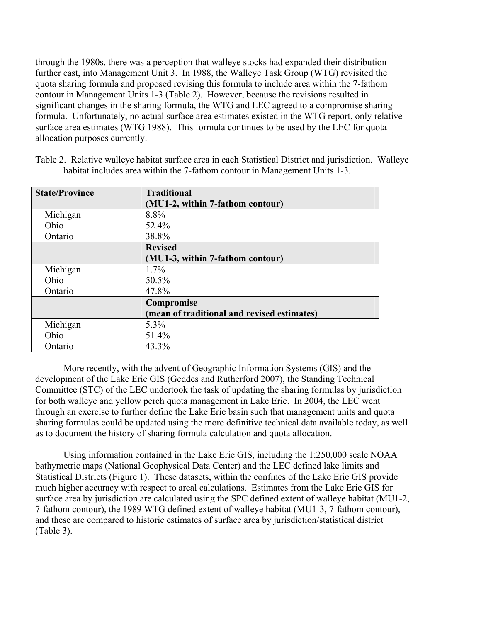through the 1980s, there was a perception that walleye stocks had expanded their distribution further east, into Management Unit 3. In 1988, the Walleye Task Group (WTG) revisited the quota sharing formula and proposed revising this formula to include area within the 7-fathom contour in Management Units 1-3 (Table 2). However, because the revisions resulted in significant changes in the sharing formula, the WTG and LEC agreed to a compromise sharing formula. Unfortunately, no actual surface area estimates existed in the WTG report, only relative surface area estimates (WTG 1988). This formula continues to be used by the LEC for quota allocation purposes currently.

| <b>State/Province</b> | <b>Traditional</b>                          |  |  |
|-----------------------|---------------------------------------------|--|--|
|                       | (MU1-2, within 7-fathom contour)            |  |  |
| Michigan              | 8.8%                                        |  |  |
| Ohio                  | 52.4%                                       |  |  |
| Ontario               | 38.8%                                       |  |  |
|                       | <b>Revised</b>                              |  |  |
|                       | (MU1-3, within 7-fathom contour)            |  |  |
| Michigan              | $1.7\%$                                     |  |  |
| Ohio                  | 50.5%                                       |  |  |
| Ontario               | 47.8%                                       |  |  |
|                       | Compromise                                  |  |  |
|                       | (mean of traditional and revised estimates) |  |  |
| Michigan              | 5.3%                                        |  |  |
| Ohio                  | 51.4%                                       |  |  |
| Ontario               | 43.3%                                       |  |  |

Table 2. Relative walleye habitat surface area in each Statistical District and jurisdiction. Walleye habitat includes area within the 7-fathom contour in Management Units 1-3.

 More recently, with the advent of Geographic Information Systems (GIS) and the development of the Lake Erie GIS (Geddes and Rutherford 2007), the Standing Technical Committee (STC) of the LEC undertook the task of updating the sharing formulas by jurisdiction for both walleye and yellow perch quota management in Lake Erie. In 2004, the LEC went through an exercise to further define the Lake Erie basin such that management units and quota sharing formulas could be updated using the more definitive technical data available today, as well as to document the history of sharing formula calculation and quota allocation.

 Using information contained in the Lake Erie GIS, including the 1:250,000 scale NOAA bathymetric maps (National Geophysical Data Center) and the LEC defined lake limits and Statistical Districts (Figure 1). These datasets, within the confines of the Lake Erie GIS provide much higher accuracy with respect to areal calculations. Estimates from the Lake Erie GIS for surface area by jurisdiction are calculated using the SPC defined extent of walleye habitat (MU1-2, 7-fathom contour), the 1989 WTG defined extent of walleye habitat (MU1-3, 7-fathom contour), and these are compared to historic estimates of surface area by jurisdiction/statistical district (Table 3).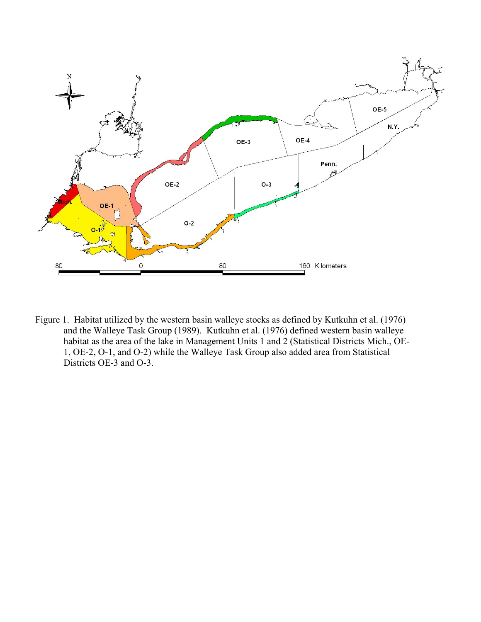

Figure 1. Habitat utilized by the western basin walleye stocks as defined by Kutkuhn et al. (1976) and the Walleye Task Group (1989). Kutkuhn et al. (1976) defined western basin walleye habitat as the area of the lake in Management Units 1 and 2 (Statistical Districts Mich., OE-1, OE-2, O-1, and O-2) while the Walleye Task Group also added area from Statistical Districts OE-3 and O-3.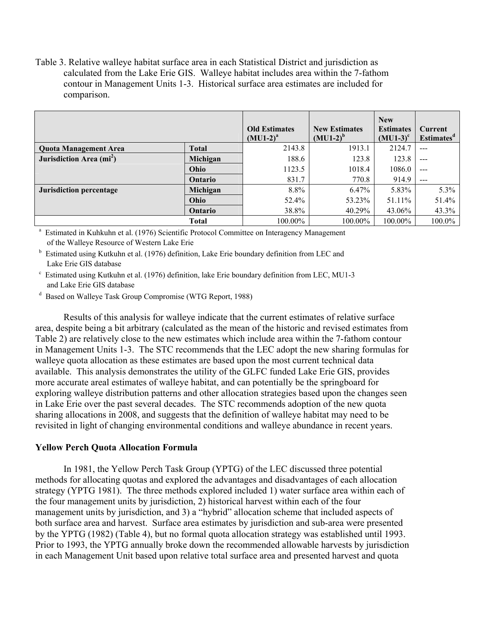Table 3. Relative walleye habitat surface area in each Statistical District and jurisdiction as calculated from the Lake Erie GIS. Walleye habitat includes area within the 7-fathom contour in Management Units 1-3. Historical surface area estimates are included for comparison.

|                                      |                | <b>Old Estimates</b><br>$(MU1-2)^{a}$ | <b>New Estimates</b><br>$(MU1-2)^b$ | <b>New</b><br><b>Estimates</b><br>$(MU1-3)^c$ | <b>Current</b><br><b>Estimates<sup>d</sup></b> |
|--------------------------------------|----------------|---------------------------------------|-------------------------------------|-----------------------------------------------|------------------------------------------------|
| <b>Quota Management Area</b>         | <b>Total</b>   | 2143.8                                | 1913.1                              | 2124.7                                        |                                                |
| Jurisdiction Area (mi <sup>2</sup> ) | Michigan       | 188.6                                 | 123.8                               | 123.8                                         | $---$                                          |
|                                      | Ohio           | 1123.5                                | 1018.4                              | 1086.0                                        | ---                                            |
|                                      | Ontario        | 831.7                                 | 770.8                               | 914.9                                         |                                                |
| Jurisdiction percentage              | Michigan       | 8.8%                                  | 6.47%                               | 5.83%                                         | $5.3\%$                                        |
|                                      | Ohio           | 52.4%                                 | 53.23%                              | 51.11%                                        | 51.4%                                          |
|                                      | <b>Ontario</b> | 38.8%                                 | 40.29%                              | 43.06%                                        | 43.3%                                          |
|                                      | <b>Total</b>   | $100.00\%$                            | $100.00\%$                          | $100.00\%$                                    | 100.0%                                         |

a Estimated in Kuhkuhn et al. (1976) Scientific Protocol Committee on Interagency Management of the Walleye Resource of Western Lake Erie

<sup>b</sup> Estimated using Kutkuhn et al. (1976) definition, Lake Erie boundary definition from LEC and Lake Erie GIS database

c Estimated using Kutkuhn et al. (1976) definition, lake Erie boundary definition from LEC, MU1-3 and Lake Erie GIS database

d Based on Walleye Task Group Compromise (WTG Report, 1988)

 Results of this analysis for walleye indicate that the current estimates of relative surface area, despite being a bit arbitrary (calculated as the mean of the historic and revised estimates from Table 2) are relatively close to the new estimates which include area within the 7-fathom contour in Management Units 1-3. The STC recommends that the LEC adopt the new sharing formulas for walleye quota allocation as these estimates are based upon the most current technical data available. This analysis demonstrates the utility of the GLFC funded Lake Erie GIS, provides more accurate areal estimates of walleye habitat, and can potentially be the springboard for exploring walleye distribution patterns and other allocation strategies based upon the changes seen in Lake Erie over the past several decades. The STC recommends adoption of the new quota sharing allocations in 2008, and suggests that the definition of walleye habitat may need to be revisited in light of changing environmental conditions and walleye abundance in recent years.

## **Yellow Perch Quota Allocation Formula**

 In 1981, the Yellow Perch Task Group (YPTG) of the LEC discussed three potential methods for allocating quotas and explored the advantages and disadvantages of each allocation strategy (YPTG 1981). The three methods explored included 1) water surface area within each of the four management units by jurisdiction, 2) historical harvest within each of the four management units by jurisdiction, and 3) a "hybrid" allocation scheme that included aspects of both surface area and harvest. Surface area estimates by jurisdiction and sub-area were presented by the YPTG (1982) (Table 4), but no formal quota allocation strategy was established until 1993. Prior to 1993, the YPTG annually broke down the recommended allowable harvests by jurisdiction in each Management Unit based upon relative total surface area and presented harvest and quota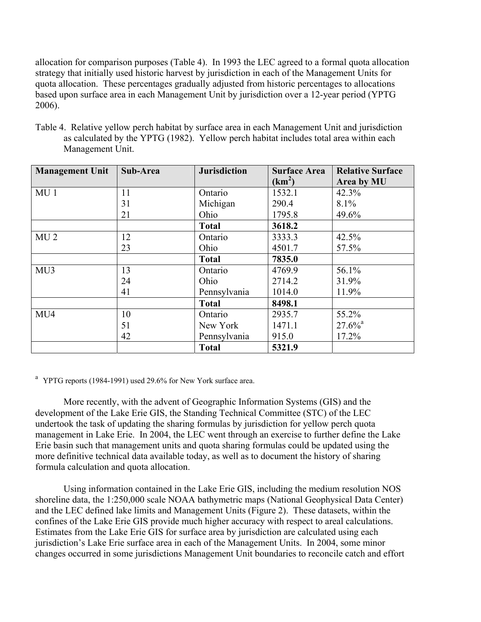allocation for comparison purposes (Table 4). In 1993 the LEC agreed to a formal quota allocation strategy that initially used historic harvest by jurisdiction in each of the Management Units for quota allocation. These percentages gradually adjusted from historic percentages to allocations based upon surface area in each Management Unit by jurisdiction over a 12-year period (YPTG 2006).

Table 4. Relative yellow perch habitat by surface area in each Management Unit and jurisdiction as calculated by the YPTG (1982). Yellow perch habitat includes total area within each Management Unit.

| <b>Management Unit</b> | Sub-Area | <b>Jurisdiction</b> | <b>Surface Area</b> | <b>Relative Surface</b> |
|------------------------|----------|---------------------|---------------------|-------------------------|
|                        |          |                     | $(km^2)$            | Area by MU              |
| MU <sub>1</sub>        | 11       | Ontario             | 1532.1              | 42.3%                   |
|                        | 31       | Michigan            | 290.4               | 8.1%                    |
|                        | 21       | Ohio                | 1795.8              | 49.6%                   |
|                        |          | <b>Total</b>        | 3618.2              |                         |
| MU <sub>2</sub>        | 12       | Ontario             | 3333.3              | 42.5%                   |
|                        | 23       | Ohio                | 4501.7              | 57.5%                   |
|                        |          | <b>Total</b>        | 7835.0              |                         |
| MU3                    | 13       | Ontario             | 4769.9              | 56.1%                   |
|                        | 24       | Ohio                | 2714.2              | 31.9%                   |
|                        | 41       | Pennsylvania        | 1014.0              | 11.9%                   |
|                        |          | <b>Total</b>        | 8498.1              |                         |
| MU4                    | 10       | Ontario             | 2935.7              | 55.2%                   |
|                        | 51       | New York            | 1471.1              | $27.6\%$ <sup>a</sup>   |
|                        | 42       | Pennsylvania        | 915.0               | $17.2\%$                |
|                        |          | <b>Total</b>        | 5321.9              |                         |

<sup>a</sup> YPTG reports (1984-1991) used 29.6% for New York surface area.

 More recently, with the advent of Geographic Information Systems (GIS) and the development of the Lake Erie GIS, the Standing Technical Committee (STC) of the LEC undertook the task of updating the sharing formulas by jurisdiction for yellow perch quota management in Lake Erie. In 2004, the LEC went through an exercise to further define the Lake Erie basin such that management units and quota sharing formulas could be updated using the more definitive technical data available today, as well as to document the history of sharing formula calculation and quota allocation.

 Using information contained in the Lake Erie GIS, including the medium resolution NOS shoreline data, the 1:250,000 scale NOAA bathymetric maps (National Geophysical Data Center) and the LEC defined lake limits and Management Units (Figure 2). These datasets, within the confines of the Lake Erie GIS provide much higher accuracy with respect to areal calculations. Estimates from the Lake Erie GIS for surface area by jurisdiction are calculated using each jurisdiction's Lake Erie surface area in each of the Management Units. In 2004, some minor changes occurred in some jurisdictions Management Unit boundaries to reconcile catch and effort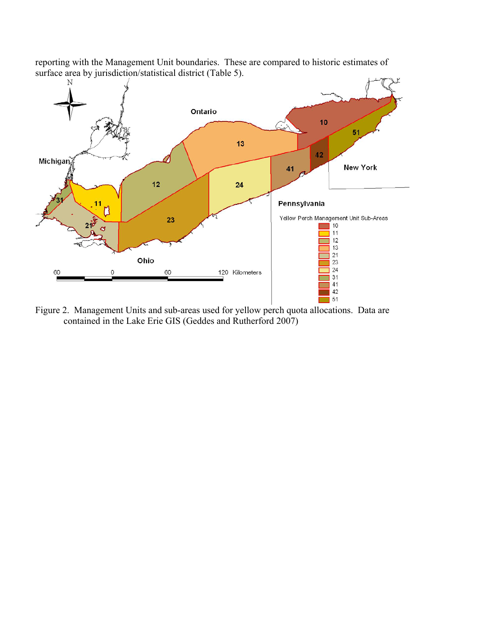

reporting with the Management Unit boundaries. These are compared to historic estimates of surface area by jurisdiction/statistical district (Table 5).

Figure 2. Management Units and sub-areas used for yellow perch quota allocations. Data are contained in the Lake Erie GIS (Geddes and Rutherford 2007)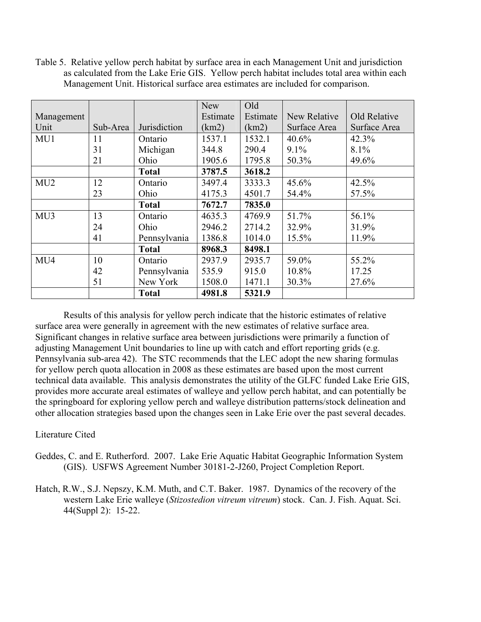Table 5. Relative yellow perch habitat by surface area in each Management Unit and jurisdiction as calculated from the Lake Erie GIS. Yellow perch habitat includes total area within each Management Unit. Historical surface area estimates are included for comparison.

|                 |          |              | <b>New</b> | Old      |              |              |
|-----------------|----------|--------------|------------|----------|--------------|--------------|
| Management      |          |              | Estimate   | Estimate | New Relative | Old Relative |
| Unit            | Sub-Area | Jurisdiction | (km2)      | (km2)    | Surface Area | Surface Area |
| MU1             | 11       | Ontario      | 1537.1     | 1532.1   | 40.6%        | 42.3%        |
|                 | 31       | Michigan     | 344.8      | 290.4    | 9.1%         | 8.1%         |
|                 | 21       | Ohio         | 1905.6     | 1795.8   | 50.3%        | 49.6%        |
|                 |          | <b>Total</b> | 3787.5     | 3618.2   |              |              |
| MU <sub>2</sub> | 12       | Ontario      | 3497.4     | 3333.3   | 45.6%        | 42.5%        |
|                 | 23       | Ohio         | 4175.3     | 4501.7   | 54.4%        | 57.5%        |
|                 |          | <b>Total</b> | 7672.7     | 7835.0   |              |              |
| MU3             | 13       | Ontario      | 4635.3     | 4769.9   | 51.7%        | 56.1%        |
|                 | 24       | Ohio         | 2946.2     | 2714.2   | 32.9%        | 31.9%        |
|                 | 41       | Pennsylvania | 1386.8     | 1014.0   | 15.5%        | 11.9%        |
|                 |          | <b>Total</b> | 8968.3     | 8498.1   |              |              |
| MU4             | 10       | Ontario      | 2937.9     | 2935.7   | 59.0%        | 55.2%        |
|                 | 42       | Pennsylvania | 535.9      | 915.0    | 10.8%        | 17.25        |
|                 | 51       | New York     | 1508.0     | 1471.1   | 30.3%        | 27.6%        |
|                 |          | <b>Total</b> | 4981.8     | 5321.9   |              |              |

 Results of this analysis for yellow perch indicate that the historic estimates of relative surface area were generally in agreement with the new estimates of relative surface area. Significant changes in relative surface area between jurisdictions were primarily a function of adjusting Management Unit boundaries to line up with catch and effort reporting grids (e.g. Pennsylvania sub-area 42). The STC recommends that the LEC adopt the new sharing formulas for yellow perch quota allocation in 2008 as these estimates are based upon the most current technical data available. This analysis demonstrates the utility of the GLFC funded Lake Erie GIS, provides more accurate areal estimates of walleye and yellow perch habitat, and can potentially be the springboard for exploring yellow perch and walleye distribution patterns/stock delineation and other allocation strategies based upon the changes seen in Lake Erie over the past several decades.

## Literature Cited

- Geddes, C. and E. Rutherford. 2007. Lake Erie Aquatic Habitat Geographic Information System (GIS). USFWS Agreement Number 30181-2-J260, Project Completion Report.
- Hatch, R.W., S.J. Nepszy, K.M. Muth, and C.T. Baker. 1987. Dynamics of the recovery of the western Lake Erie walleye (*Stizostedion vitreum vitreum*) stock. Can. J. Fish. Aquat. Sci. 44(Suppl 2): 15-22.